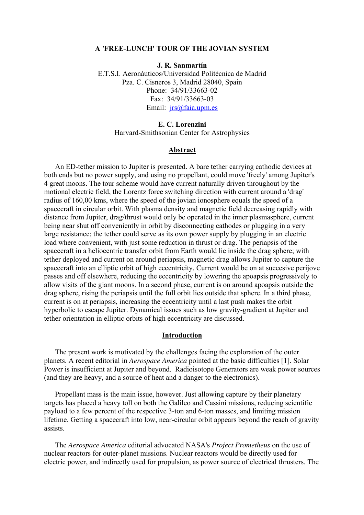#### **A 'FREE-LUNCH' TOUR OF THE JOVIAN SYSTEM**

**J. R. Sanmartín**  E.T.S.I. Aeronáuticos/Universidad Politécnica de Madrid Pza. C. Cisneros 3, Madrid 28040, Spain Phone: 34/91/33663-02 Fax: 34/91/33663-03 Email: [jrs@faia.upm.es](mailto:jrs@faia.upm.es)

# **E. C. Lorenzini**

Harvard-Smithsonian Center for Astrophysics

## **Abstract**

An ED-tether mission to Jupiter is presented. A bare tether carrying cathodic devices at both ends but no power supply, and using no propellant, could move 'freely' among Jupiter's 4 great moons. The tour scheme would have current naturally driven throughout by the motional electric field, the Lorentz force switching direction with current around a 'drag' radius of 160,00 kms, where the speed of the jovian ionosphere equals the speed of a spacecraft in circular orbit. With plasma density and magnetic field decreasing rapidly with distance from Jupiter, drag/thrust would only be operated in the inner plasmasphere, current being near shut off conveniently in orbit by disconnecting cathodes or plugging in a very large resistance; the tether could serve as its own power supply by plugging in an electric load where convenient, with just some reduction in thrust or drag. The periapsis of the spacecraft in a heliocentric transfer orbit from Earth would lie inside the drag sphere; with tether deployed and current on around periapsis, magnetic drag allows Jupiter to capture the spacecraft into an elliptic orbit of high eccentricity. Current would be on at succesive perijove passes and off elsewhere, reducing the eccentricity by lowering the apoapsis progressively to allow visits of the giant moons. In a second phase, current is on around apoapsis outside the drag sphere, rising the periapsis until the full orbit lies outside that sphere. In a third phase, current is on at periapsis, increasing the eccentricity until a last push makes the orbit hyperbolic to escape Jupiter. Dynamical issues such as low gravity-gradient at Jupiter and tether orientation in elliptic orbits of high eccentricity are discussed.

#### **Introduction**

The present work is motivated by the challenges facing the exploration of the outer planets. A recent editorial in *Aerospace America* pointed at the basic difficulties [1]. Solar Power is insufficient at Jupiter and beyond. Radioisotope Generators are weak power sources (and they are heavy, and a source of heat and a danger to the electronics).

Propellant mass is the main issue, however. Just allowing capture by their planetary targets has placed a heavy toll on both the Galileo and Cassini missions, reducing scientific payload to a few percent of the respective 3-ton and 6-ton masses, and limiting mission lifetime. Getting a spacecraft into low, near-circular orbit appears beyond the reach of gravity assists.

The *Aerospace America* editorial advocated NASA's *Project Prometheus* on the use of nuclear reactors for outer-planet missions. Nuclear reactors would be directly used for electric power, and indirectly used for propulsion, as power source of electrical thrusters. The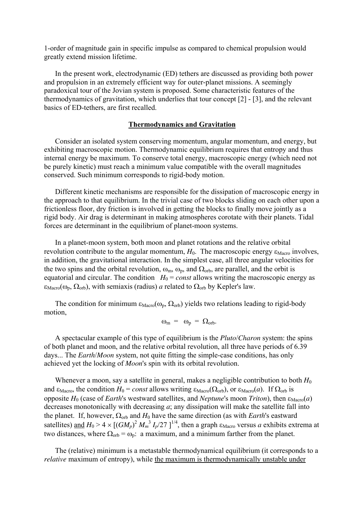1-order of magnitude gain in specific impulse as compared to chemical propulsion would greatly extend mission lifetime.

In the present work, electrodynamic (ED) tethers are discussed as providing both power and propulsion in an extremely efficient way for outer-planet missions. A seemingly paradoxical tour of the Jovian system is proposed. Some characteristic features of the thermodynamics of gravitation, which underlies that tour concept [2] - [3], and the relevant basics of ED-tethers, are first recalled.

## **Thermodynamics and Gravitation**

Consider an isolated system conserving momentum, angular momentum, and energy, but exhibiting macroscopic motion. Thermodynamic equilibrium requires that entropy and thus internal energy be maximum. To conserve total energy, macroscopic energy (which need not be purely kinetic) must reach a minimum value compatible with the overall magnitudes conserved. Such minimum corresponds to rigid-body motion.

Different kinetic mechanisms are responsible for the dissipation of macroscopic energy in the approach to that equilibrium. In the trivial case of two blocks sliding on each other upon a frictionless floor, dry friction is involved in getting the blocks to finally move jointly as a rigid body. Air drag is determinant in making atmospheres corotate with their planets. Tidal forces are determinant in the equilibrium of planet-moon systems.

In a planet-moon system, both moon and planet rotations and the relative orbital revolution contribute to the angular momentum,  $H_0$ . The macroscopic energy  $\varepsilon_{\text{Macro}}$  involves, in addition, the gravitational interaction. In the simplest case, all three angular velocities for the two spins and the orbital revolution,  $\omega_m$ ,  $\omega_p$ , and  $\Omega_{\text{orb}}$ , are parallel, and the orbit is equatorial and circular. The condition  $H_0 = const$  allows writing the macroscopic energy as  $\varepsilon_{\text{Macro}}(\omega_{\text{p}}, \Omega_{\text{orb}})$ , with semiaxis (radius) *a* related to  $\Omega_{\text{orb}}$  by Kepler's law.

The condition for minimum  $\epsilon_{\text{Macro}}(\omega_{p}, \Omega_{\text{orb}})$  yields two relations leading to rigid-body motion,

$$
\omega_{\rm m} = \omega_{\rm p} = \Omega_{\rm orb}.
$$

A spectacular example of this type of equilibrium is the *Pluto*/*Charon* system: the spins of both planet and moon, and the relative orbital revolution, all three have periods of 6.39 days... The *Earth*/*Moon* system, not quite fitting the simple-case conditions, has only achieved yet the locking of *Moon*'s spin with its orbital revolution.

Whenever a moon, say a satellite in general, makes a negligible contribution to both  $H_0$ and  $\varepsilon_{\text{Macco}}$ , the condition  $H_0 = const$  allows writing  $\varepsilon_{\text{Macco}}(\Omega_{\text{orb}})$ , or  $\varepsilon_{\text{Macco}}(a)$ . If  $\Omega_{\text{orb}}$  is opposite  $H_0$  (case of *Earth*'s westward satellites, and *Neptune*'s moon *Triton*), then  $\epsilon_{\text{Macro}}(a)$ decreases monotonically with decreasing *a*; any dissipation will make the satellite fall into the planet. If, however,  $\Omega_{\text{orb}}$  and  $H_0$  have the same direction (as with *Earth*'s eastward satellites) <u>and</u>  $H_0 > 4 \times [(GM_p)^2 M_m^3 I_p/27]^{1/4}$ , then a graph  $\varepsilon_{\text{Macc}}$  versus *a* exhibits extrema at two distances, where  $\Omega_{\rm orb} = \omega_{\rm p}$ : a maximum, and a minimum farther from the planet.

The (relative) minimum is a metastable thermodynamical equilibrium (it corresponds to a *relative* maximum of entropy), while the maximum is thermodynamically unstable under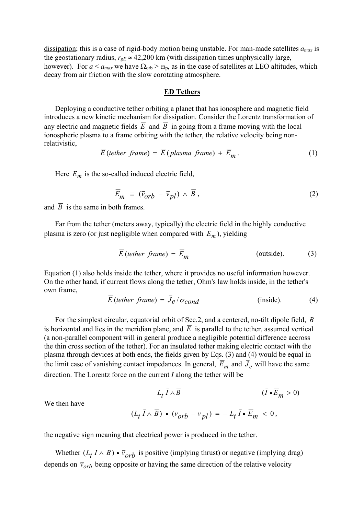dissipation; this is a case of rigid-body motion being unstable. For man-made satellites *amax* is the geostationary radius,  $r_{eE} \approx 42,200$  km (with dissipation times unphysically large, however). For  $a < a_{max}$  we have  $\Omega_{orb} > \omega_p$ , as in the case of satellites at LEO altitudes, which decay from air friction with the slow corotating atmosphere.

### **ED Tethers**

Deploying a conductive tether orbiting a planet that has ionosphere and magnetic field introduces a new kinetic mechanism for dissipation. Consider the Lorentz transformation of any electric and magnetic fields  $\overline{E}$  and  $\overline{B}$  in going from a frame moving with the local ionospheric plasma to a frame orbiting with the tether, the relative velocity being nonrelativistic,

$$
\overline{E}\text{ (tether frame)} = \overline{E}\text{ (plasma frame)} + \overline{E}_m. \tag{1}
$$

Here  $\overline{E}_m$  is the so-called induced electric field,

$$
\overline{E}_m = (\overline{v}_{orb} - \overline{v}_{pl}) \wedge \overline{B}, \qquad (2)
$$

and  $\overline{B}$  is the same in both frames.

Far from the tether (meters away, typically) the electric field in the highly conductive plasma is zero (or just negligible when compared with  $\overline{E}_m$ ), yielding

$$
\overline{E}\text{ (tether frame)} = \overline{E}_m \tag{3}
$$

Equation (1) also holds inside the tether, where it provides no useful information however. On the other hand, if current flows along the tether, Ohm's law holds inside, in the tether's own frame,

$$
E \text{ (tether frame)} = J_e / \sigma_{cond} \qquad \qquad \text{(inside)}.
$$
 (4)

For the simplest circular, equatorial orbit of Sec.2, and a centered, no-tilt dipole field,  $\overline{B}$ is horizontal and lies in the meridian plane, and  $\overline{E}$  is parallel to the tether, assumed vertical (a non-parallel component will in general produce a negligible potential difference accross the thin cross section of the tether). For an insulated tether making electric contact with the plasma through devices at both ends, the fields given by Eqs. (3) and (4) would be equal in the limit case of vanishing contact impedances. In general,  $\overline{E}_m$  and  $\overline{J}_e$  will have the same direction. The Lorentz force on the current *I* along the tether will be

We then have  
\n
$$
L_t \bar{I} \wedge \bar{B}
$$
\n
$$
(\bar{I} \cdot \bar{E}_m > 0)
$$
\n
$$
(L_t \bar{I} \wedge \bar{B}) \cdot (\bar{v}_{orb} - \bar{v}_{pl}) = -L_t \bar{I} \cdot \bar{E}_m < 0,
$$

We then have

the negative sign meaning that electrical power is produced in the tether.

Whether  $(L_t \bar{I} \wedge \bar{B}) \cdot \bar{v}_{orb}$  is positive (implying thrust) or negative (implying drag) depends on  $\bar{v}_{orb}$  being opposite or having the same direction of the relative velocity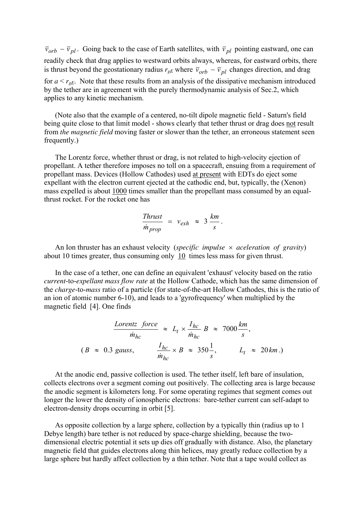$\bar{v}_{orb} - \bar{v}_{pl}$ . Going back to the case of Earth satellites, with  $\bar{v}_{pl}$  pointing eastward, one can readily check that drag applies to westward orbits always, whereas, for eastward orbits, there is thrust beyond the geostationary radius  $r_{gE}$  where  $\bar{v}_{orb} - \bar{v}_{pl}$  changes direction, and drag for  $a < r_{gE}$ . Note that these results from an analysis of the dissipative mechanism introduced by the tether are in agreement with the purely thermodynamic analysis of Sec.2, which applies to any kinetic mechanism.

(Note also that the example of a centered, no-tilt dipole magnetic field - Saturn's field being quite close to that limit model - shows clearly that tether thrust or drag does not result from *the magnetic field* moving faster or slower than the tether, an erroneous statement seen frequently.)

The Lorentz force, whether thrust or drag, is not related to high-velocity ejection of propellant. A tether therefore imposes no toll on a spacecraft, ensuing from a requirement of propellant mass. Devices (Hollow Cathodes) used at present with EDTs do eject some expellant with the electron current ejected at the cathodic end, but, typically, the (Xenon) mass expelled is about 1000 times smaller than the propellant mass consumed by an equalthrust rocket. For the rocket one has

$$
\frac{\text{Thrust}}{\dot{m}_{prop}} = v_{exh} \approx 3 \frac{\text{km}}{\text{s}}.
$$

An Ion thruster has an exhaust velocity (*specific impulse* × *aceleration of gravity*) about 10 times greater, thus consuming only 10 times less mass for given thrust.

In the case of a tether, one can define an equivalent 'exhaust' velocity based on the ratio *current*-to-*expellant mass flow rate* at the Hollow Cathode, which has the same dimension of the *charge*-to-*mass* ratio of a particle (for state-of-the-art Hollow Cathodes, this is the ratio of an ion of atomic number 6-10), and leads to a 'gyrofrequency' when multiplied by the magnetic field [4]. One finds

Lorentz force  
\n
$$
\frac{Lorentz \ force}{\dot{m}_{hc}} \approx L_t \times \frac{I_{hc}}{\dot{m}_{hc}} B \approx 7000 \frac{km}{s},
$$
\n
$$
(B \approx 0.3 \text{ gauss}, \frac{I_{hc}}{\dot{m}_{hc}} \times B \approx 350 \frac{1}{s}, L_t \approx 20 \text{ km}.)
$$

At the anodic end, passive collection is used. The tether itself, left bare of insulation, collects electrons over a segment coming out positively. The collecting area is large because the anodic segment is kilometers long. For some operating regimes that segment comes out longer the lower the density of ionospheric electrons: bare-tether current can self-adapt to electron-density drops occurring in orbit [5].

As opposite collection by a large sphere, collection by a typically thin (radius up to 1 Debye length) bare tether is not reduced by space-charge shielding, because the twodimensional electric potential it sets up dies off gradually with distance. Also, the planetary magnetic field that guides electrons along thin helices, may greatly reduce collection by a large sphere but hardly affect collection by a thin tether. Note that a tape would collect as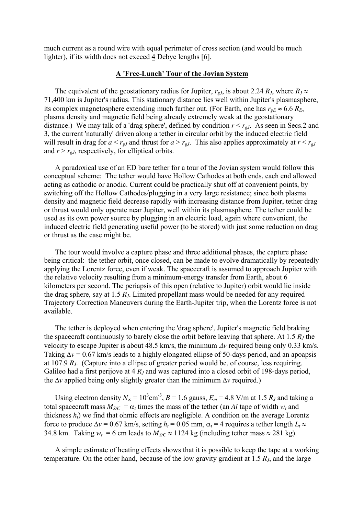much current as a round wire with equal perimeter of cross section (and would be much lighter), if its width does not exceed 4 Debye lengths [6].

### **A 'Free-Lunch' Tour of the Jovian System**

The equivalent of the geostationary radius for Jupiter,  $r_{gJ}$ , is about 2.24  $R_J$ , where  $R_J \approx$ 71,400 km is Jupiter's radius. This stationary distance lies well within Jupiter's plasmasphere, its complex magnetosphere extending much farther out. (For Earth, one has  $r_{gE} \approx 6.6 R_E$ , plasma density and magnetic field being already extremely weak at the geostationary distance.) We may talk of a 'drag sphere', defined by condition  $r < r_{gJ}$ . As seen in Secs.2 and 3, the current 'naturally' driven along a tether in circular orbit by the induced electric field will result in drag for  $a < r_{gJ}$  and thrust for  $a > r_{gJ}$ . This also applies approximately at  $r < r_{gJ}$ and  $r > r_{gJ}$ , respectively, for elliptical orbits.

A paradoxical use of an ED bare tether for a tour of the Jovian system would follow this conceptual scheme: The tether would have Hollow Cathodes at both ends, each end allowed acting as cathodic or anodic. Current could be practically shut off at convenient points, by switching off the Hollow Cathodes/plugging in a very large resistance; since both plasma density and magnetic field decrease rapidly with increasing distance from Jupiter, tether drag or thrust would only operate near Jupiter, well within its plasmasphere. The tether could be used as its own power source by plugging in an electric load, again where convenient, the induced electric field generating useful power (to be stored) with just some reduction on drag or thrust as the case might be.

The tour would involve a capture phase and three additional phases, the capture phase being critical: the tether orbit, once closed, can be made to evolve dramatically by repeatedly applying the Lorentz force, even if weak. The spacecraft is assumed to approach Jupiter with the relative velocity resulting from a minimum-energy transfer from Earth, about 6 kilometers per second. The periapsis of this open (relative to Jupiter) orbit would lie inside the drag sphere, say at 1.5 *RJ*. Limited propellant mass would be needed for any required Trajectory Correction Maneuvers during the Earth-Jupiter trip, when the Lorentz force is not available.

The tether is deployed when entering the 'drag sphere', Jupiter's magnetic field braking the spacecraft continuously to barely close the orbit before leaving that sphere. At 1.5  $R_J$  the velocity to escape Jupiter is about 48.5 km/s, the minimum ∆*v* required being only 0.33 km/s. Taking ∆*v* = 0.67 km/s leads to a highly elongated ellipse of 50-days period, and an apoapsis at 107.9 *RJ*. (Capture into a ellipse of greater period would be, of course, less requiring. Galileo had a first perijove at 4  $R_J$  and was captured into a closed orbit of 198-days period, the ∆*v* applied being only slightly greater than the minimum ∆*v* required.)

Using electron density  $N_{\infty} = 10^3$ cm<sup>-3</sup>,  $B = 1.6$  gauss,  $E_m = 4.8$  V/m at 1.5  $R_J$  and taking a total spacecraft mass  $M_{SC} = \alpha_t$  times the mass of the tether (an *Al* tape of width  $w_t$  and thickness  $h_t$ ) we find that ohmic effects are negligible. A condition on the average Lorentz force to produce  $\Delta v = 0.67$  km/s, setting  $h_t = 0.05$  mm,  $\alpha_t = 4$  requires a tether length  $L_t \approx$ 34.8 km. Taking  $w_t = 6$  cm leads to  $M_{SC} \approx 1124$  kg (including tether mass  $\approx 281$  kg).

A simple estimate of heating effects shows that it is possible to keep the tape at a working temperature. On the other hand, because of the low gravity gradient at 1.5 *RJ*, and the large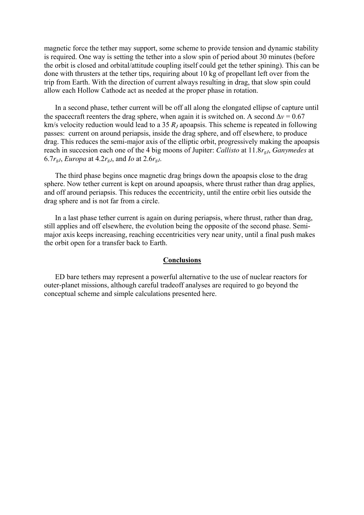magnetic force the tether may support, some scheme to provide tension and dynamic stability is required. One way is setting the tether into a slow spin of period about 30 minutes (before the orbit is closed and orbital/attitude coupling itself could get the tether spining). This can be done with thrusters at the tether tips, requiring about 10 kg of propellant left over from the trip from Earth. With the direction of current always resulting in drag, that slow spin could allow each Hollow Cathode act as needed at the proper phase in rotation.

In a second phase, tether current will be off all along the elongated ellipse of capture until the spacecraft reenters the drag sphere, when again it is switched on. A second  $\Delta$ *v* = 0.67 km/s velocity reduction would lead to a 35  $R<sub>I</sub>$  apoapsis. This scheme is repeated in following passes: current on around periapsis, inside the drag sphere, and off elsewhere, to produce drag. This reduces the semi-major axis of the elliptic orbit, progressively making the apoapsis reach in succesion each one of the 4 big moons of Jupiter: *Callisto* at 11.8*rgJ*, *Ganymedes* at 6.7 $r_{gJ}$ , *Europa* at 4.2 $r_{gJ}$ , and *Io* at 2.6 $r_{gJ}$ .

The third phase begins once magnetic drag brings down the apoapsis close to the drag sphere. Now tether current is kept on around apoapsis, where thrust rather than drag applies, and off around periapsis. This reduces the eccentricity, until the entire orbit lies outside the drag sphere and is not far from a circle.

In a last phase tether current is again on during periapsis, where thrust, rather than drag, still applies and off elsewhere, the evolution being the opposite of the second phase. Semimajor axis keeps increasing, reaching eccentricities very near unity, until a final push makes the orbit open for a transfer back to Earth.

#### **Conclusions**

ED bare tethers may represent a powerful alternative to the use of nuclear reactors for outer-planet missions, although careful tradeoff analyses are required to go beyond the conceptual scheme and simple calculations presented here.